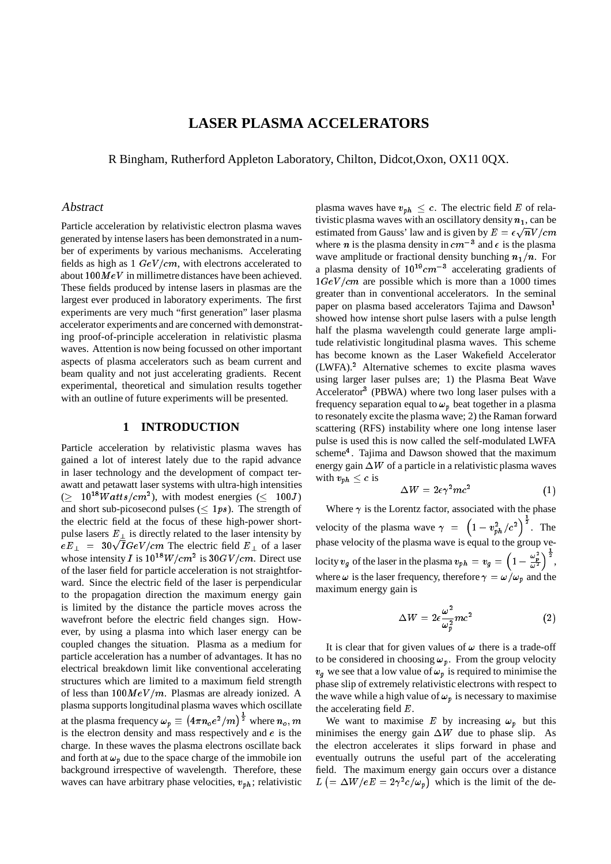## **LASER PLASMA ACCELERATORS**

R Bingham, Rutherford Appleton Laboratory, Chilton, Didcot,Oxon, OX11 0QX.

#### Abstract

Particle acceleration by relativistic electron plasma waves generated by intense lasers has been demonstrated in a number of experiments by various mechanisms. Accelerating fields as high as  $1 \ GeV/cm$ , with electrons accelerated to about  $100M eV$  in millimetre distances have been achieved. These fields produced by intense lasers in plasmas are the largest ever produced in laboratory experiments. The first experiments are very much "first generation" laser plasma accelerator experiments and are concerned with demonstrating proof-of-principle acceleration in relativistic plasma waves. Attention is now being focussed on other important aspects of plasma accelerators such as beam current and beam quality and not just accelerating gradients. Recent experimental, theoretical and simulation results together with an outline of future experiments will be presented.

### **1 INTRODUCTION**

Particle acceleration by relativistic plasma waves has gained a lot of interest lately due to the rapid advance in laser technology and the development of compact terawatt and petawatt laser systems with ultra-high intensities  $( \geq 10^{18}Watts/cm^2)$ , with modest energies  $( \leq 100J)$ and short sub-picosecond pulses ( $\leq 1ps$ ). The strength of the electric field at the focus of these high-power shortpulse lasers  $E_{\perp}$  is directly related to the laser intensity by  $eE_{\perp}$  = 30 $\sqrt{IGeV/cm}$  The electric field  $E_{\perp}$  of a laser whose intensity I is  $10^{18}W/cm^2$  is  $30GV/cm$ . Direct use of the laser field for particle acceleration is not straightforward. Since the electric field of the laser is perpendicular to the propagation direction the maximum energy gain is limited by the distance the particle moves across the wavefront before the electric field changes sign. However, by using a plasma into which laser energy can be coupled changes the situation. Plasma as a medium for particle acceleration has a number of advantages. It has no electrical breakdown limit like conventional accelerating structures which are limited to a maximum field strength of less than  $100MeV/m$ . Plasmas are already ionized. A plasma supports longitudinal plasma waves which oscillate at the plasma frequency  $\omega_p \equiv (4\pi n_o e^2/m)^{\frac{1}{2}}$  where  $n_o, m$ is the electron density and mass respectively and e is the charge. In these waves the plasma electrons oscillate back and forth at  $\omega_p$  due to the space charge of the immobile ion background irrespective of wavelength. Therefore, these waves can have arbitrary phase velocities,  $v_{ph}$ ; relativistic

plasma waves have  $v_{ph} \leq c$ . The electric field E of relativistic plasma waves with an oscillatory density  $n_1$ , can be estimated from Gauss' law and is given by  $E = \epsilon \sqrt{n} V/cm$ where *n* is the plasma density in  $cm^{-3}$  and  $\epsilon$  is the plasma wave amplitude or fractional density bunching  $n_1/n$ . For a plasma density of  $10^{19} cm^{-3}$  accelerating gradients of  $1GeV/cm$  are possible which is more than a 1000 times greater than in conventional accelerators. In the seminal paper on plasma based accelerators Tajima and Dawson<sup>1</sup> showed how intense short pulse lasers with a pulse length half the plasma wavelength could generate large amplitude relativistic longitudinal plasma waves. This scheme has become known as the Laser Wakefield Accelerator  $(LWFA).<sup>2</sup>$  Alternative schemes to excite plasma waves using larger laser pulses are; 1) the Plasma Beat Wave Accelerator<sup>3</sup> (PBWA) where two long laser pulses with a frequency separation equal to  $\omega_p$  beat together in a plasma to resonately excite the plasma wave; 2) the Raman forward scattering (RFS) instability where one long intense laser pulse is used this is now called the self-modulated LWFA scheme<sup>4</sup>. Tajima and Dawson showed that the maximum energy gain  $\Delta W$  of a particle in a relativistic plasma waves with  $v_{ph} < c$  is

$$
\Delta W = 2\epsilon \gamma^2 mc^2 \tag{1}
$$

Where  $\gamma$  is the Lorentz factor, associated with the phase velocity of the plasma wave  $\gamma = \left(1 - v_{ph}^2/c^2\right)^{\frac{1}{2}}$ . The phase velocity of the plasma wave is equal to the group velocity  $v_q$  of the laser in the plasma  $v_{ph} = v_q = (1 - \frac{1}{2})$  $1-\frac{\omega_p^{\,2}}{\omega^{\,2}}\Big)^{\,\overline{2}}\,,$ where  $\omega$  is the laser frequency, therefore  $\gamma = \omega/\omega_p$  and the maximum energy gain is

$$
\Delta W = 2\epsilon \frac{\omega^2}{\omega_p^2} mc^2 \tag{2}
$$

It is clear that for given values of  $\omega$  there is a trade-off to be considered in choosing  $\omega_p$ . From the group velocity  $v<sub>g</sub>$  we see that a low value of  $\omega_p$  is required to minimise the phase slip of extremely relativistic electrons with respect to the wave while a high value of  $\omega_p$  is necessary to maximise the accelerating field  $E$ .

We want to maximise E by increasing  $\omega_p$  but this minimises the energy gain  $\Delta W$  due to phase slip. As the electron accelerates it slips forward in phase and eventually outruns the useful part of the accelerating field. The maximum energy gain occurs over a distance  $L\left(=\Delta W/eE=2\gamma^2 c/\omega_p\right)$  which is the limit of the de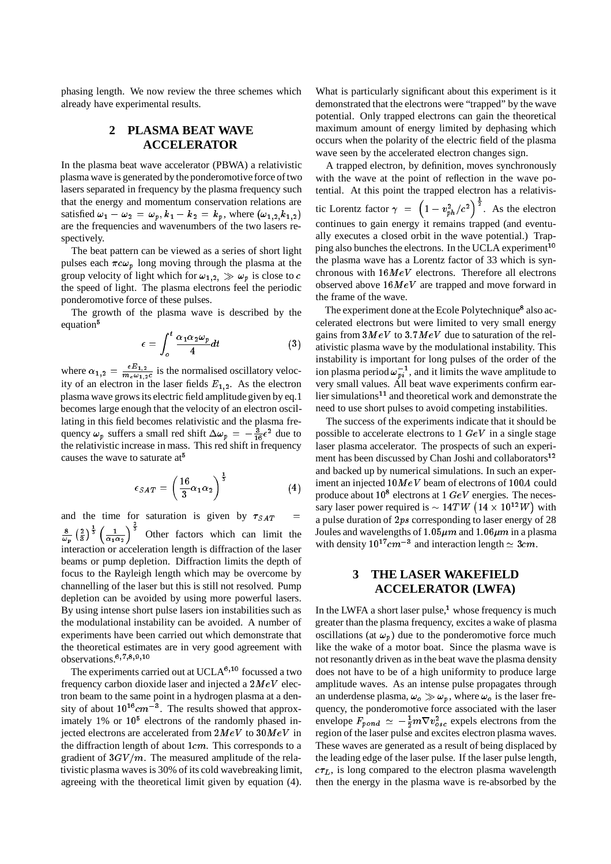phasing length. We now review the three schemes which already have experimental results.

# **2 PLASMA BEAT WAVE ACCELERATOR**

In the plasma beat wave accelerator (PBWA) a relativistic plasma wave is generated by the ponderomotive force of two lasers separated in frequency by the plasma frequency such that the energy and momentum conservation relations are satisfied  $\omega_1 - \omega_2 = \omega_p, k_1 - k_2 = k_p$ , where  $(\omega_{1,2}, k_{1,2})$ are the frequencies and wavenumbers of the two lasers respectively.

The beat pattern can be viewed as a series of short light pulses each  $\pi c \omega_p$  long moving through the plasma at the group velocity of light which for  $\omega_{1,2} \gg \omega_p$  is close to c the speed of light. The plasma electrons feel the periodic ponderomotive force of these pulses.

The growth of the plasma wave is described by the equation<sup>5</sup>

$$
\epsilon = \int_{o}^{t} \frac{\alpha_1 \alpha_2 \omega_p}{4} dt \tag{3}
$$

where  $\alpha_{1,2} = \frac{e E_{1,2}}{m_e \omega_{1,2}c}$  is the normalised oscillatory velocity of an electron in the laser fields  $E_{1,2}$ . As the electron plasma wave grows its electric field amplitude given by eq.1 becomes large enough that the velocity of an electron oscillating in this field becomes relativistic and the plasma frequency  $\omega_p$  suffers a small red shift  $\Delta \omega_p = -\frac{3}{16} \epsilon^2$  due to the relativistic increase in mass. This red shift in frequency causes the wave to saturate at<sup>5</sup>

$$
\epsilon_{SAT} = \left(\frac{16}{3}\alpha_1\alpha_2\right)^{\frac{1}{3}}\tag{4}
$$

and the time for saturation is given by  $\tau_{SAT}$  $\frac{8}{\omega_n} \left(\frac{2}{3}\right)^{\frac{1}{3}} \left(\frac{1}{\alpha_1 \alpha_2}\right)^{\frac{1}{3}}$  Other factors which can limit the interaction or acceleration length is diffraction of the laser beams or pump depletion. Diffraction limits the depth of focus to the Rayleigh length which may be overcome by channelling of the laser but this is still not resolved. Pump depletion can be avoided by using more powerful lasers. By using intense short pulse lasers ion instabilities such as the modulational instability can be avoided. A number of experiments have been carried out which demonstrate that the theoretical estimates are in very good agreement with observations. $6,7,8,9,10$ 

The experiments carried out at UCLA<sup>6,10</sup> focussed a two frequency carbon dioxide laser and injected a  $2MeV$  electron beam to the same point in a hydrogen plasma at a density of about  $10^{16}$ cm<sup>-3</sup>. The results showed that approximately  $1\%$  or  $10<sup>5</sup>$  electrons of the randomly phased injected electrons are accelerated from  $2M eV$  to  $30MeV$  in the diffraction length of about  $1cm$ . This corresponds to a gradient of  $3GV/m$ . The measured amplitude of the relativistic plasma waves is 30% of its cold wavebreaking limit, agreeing with the theoretical limit given by equation (4).

What is particularly significant about this experiment is it demonstrated that the electrons were "trapped" by the wave potential. Only trapped electrons can gain the theoretical maximum amount of energy limited by dephasing which occurs when the polarity of the electric field of the plasma wave seen by the accelerated electron changes sign.

A trapped electron, by definition, moves synchronously with the wave at the point of reflection in the wave potential. At this point the trapped electron has a relativistic Lorentz factor  $\gamma = \left(1 - v_{ph}^2/c^2\right)^{\frac{1}{2}}$ . As the electron continues to gain energy it remains trapped (and eventually executes a closed orbit in the wave potential.) Trapping also bunches the electrons. In the UCLA experiment<sup>10</sup> the plasma wave has a Lorentz factor of 33 which is synchronous with  $16MeV$  electrons. Therefore all electrons observed above  $16MeV$  are trapped and move forward in the frame of the wave.

The experiment done at the Ecole Polytechnique<sup>8</sup> also accelerated electrons but were limited to very small energy gains from  $3MeV$  to  $3.7MeV$  due to saturation of the relativistic plasma wave by the modulational instability. This instability is important for long pulses of the order of the ion plasma period  $\omega_{pi}^{-1}$ , and it limits the wave amplitude to very small values. All beat wave experiments confirm earlier simulations<sup>11</sup> and theoretical work and demonstrate the need to use short pulses to avoid competing instabilities.

The success of the experiments indicate that it should be possible to accelerate electrons to  $1 \ GeV$  in a single stage laser plasma accelerator. The prospects of such an experiment has been discussed by Chan Joshi and collaborators<sup>12</sup> and backed up by numerical simulations. In such an experiment an injected  $10MeV$  beam of electrons of  $100A$  could produce about 10<sup>8</sup> electrons at 1  $GeV$  energies. The necessary laser power required is  $\sim 14TW (14 \times 10^{12}W)$  with a pulse duration of 2ps corresponding to laser energy of 28 Joules and wavelengths of  $1.05 \mu m$  and  $1.06 \mu m$  in a plasma with density  $10^{17}$  cm<sup>-3</sup> and interaction length  $\simeq 3$  cm.

## **3 THE LASER WAKEFIELD ACCELERATOR (LWFA)**

In the LWFA a short laser pulse, $<sup>1</sup>$  whose frequency is much</sup> greater than the plasma frequency, excites a wake of plasma oscillations (at  $\omega_p$ ) due to the ponderomotive force much like the wake of a motor boat. Since the plasma wave is not resonantly driven as in the beat wave the plasma density does not have to be of a high uniformity to produce large amplitude waves. As an intense pulse propagates through an underdense plasma,  $\omega_o \gg \omega_p$ , where  $\omega_o$  is the laser frequency, the ponderomotive force associated with the laser envelope  $F_{pond} \simeq -\frac{1}{2}m\nabla v_{osc}^2$  expels electrons from the region of the laser pulse and excites electron plasma waves. These waves are generated as a result of being displaced by the leading edge of the laser pulse. If the laser pulse length,  $c\tau_L$ , is long compared to the electron plasma wavelength then the energy in the plasma wave is re-absorbed by the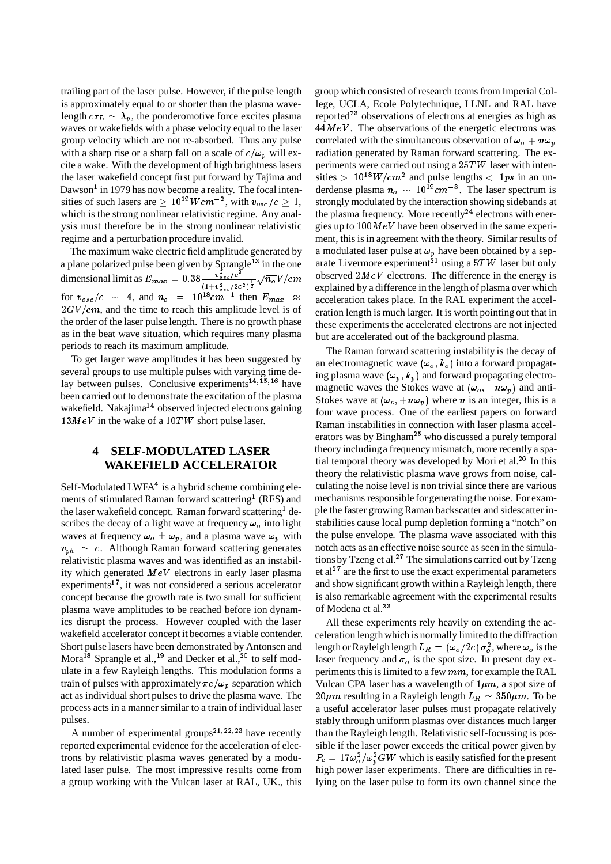trailing part of the laser pulse. However, if the pulse length is approximately equal to or shorter than the plasma wavelength  $c\tau_L \simeq \lambda_p$ , the ponderomotive force excites plasma waves or wakefields with a phase velocity equal to the laser group velocity which are not re-absorbed. Thus any pulse with a sharp rise or a sharp fall on a scale of  $c/\omega_p$  will excite a wake. With the development of high brightness lasers the laser wakefield concept first put forward by Tajima and Dawson<sup>1</sup> in 1979 has now become a reality. The focal intensities of such lasers are  $\geq 10^{19} W cm^{-2}$ , with  $v_{osc}/c \geq 1$ , which is the strong nonlinear relativistic regime. Any analysis must therefore be in the strong nonlinear relativistic regime and a perturbation procedure invalid.

The maximum wake electric field amplitude generated by a plane polarized pulse been given by Sprangle<sup>13</sup> in the one dimensional limit as  $E_{max} = 0.38 \frac{v_{osc}/c^2}{(1+v_{osc}^2/c^2)^{\frac{1}{2}}} \sqrt{n_o} V/cm$  obs for  $v_{osc}/c \sim 4$ , and  $n_o = 10^{18} cm^{-1}$  then  $E_{max} \approx \frac{1}{2}$  $2GV/cm$ , and the time to reach this amplitude level is of the order of the laser pulse length. There is no growth phase as in the beat wave situation, which requires many plasma periods to reach its maximum amplitude.

To get larger wave amplitudes it has been suggested by several groups to use multiple pulses with varying time delay between pulses. Conclusive experiments<sup>14,15,16</sup> have been carried out to demonstrate the excitation of the plasma wakefield. Nakajima<sup>14</sup> observed injected electrons gaining  $13MeV$  in the wake of a  $10TW$  short pulse laser.

#### **4 SELF-MODULATED LASER WAKEFIELD ACCELERATOR**

Self-Modulated LWFA $<sup>4</sup>$  is a hybrid scheme combining ele-</sup> ments of stimulated Raman forward scattering<sup>1</sup> (RFS) and the laser wakefield concept. Raman forward scattering<sup>1</sup> describes the decay of a light wave at frequency  $\omega_o$  into light waves at frequency  $\omega_o \pm \omega_p$ , and a plasma wave  $\omega_p$  with  $v_{ph} \simeq c$ . Although Raman forward scattering generates relativistic plasma waves and was identified as an instability which generated  $MeV$  electrons in early laser plasma experiments<sup>17</sup>, it was not considered a serious accelerator concept because the growth rate is two small for sufficient plasma wave amplitudes to be reached before ion dynamics disrupt the process. However coupled with the laser wakefield accelerator concept it becomes a viable contender. Short pulse lasers have been demonstrated by Antonsen and Mora<sup>18</sup> Sprangle et al.,<sup>19</sup> and Decker et al.,<sup>20</sup> to self modulate in a few Rayleigh lengths. This modulation forms a train of pulses with approximately  $\pi c/\omega_p$  separation which act as individual short pulses to drive the plasma wave. The process acts in a manner similar to a train of individual laser pulses.

A number of experimental groups<sup>21,22,23</sup> have recently reported experimental evidence for the acceleration of electrons by relativistic plasma waves generated by a modulated laser pulse. The most impressive results come from a group working with the Vulcan laser at RAL, UK., this group which consisted of research teams from Imperial College, UCLA, Ecole Polytechnique, LLNL and RAL have reported<sup>23</sup> observations of electrons at energies as high as  $44MeV$ . The observations of the energetic electrons was correlated with the simultaneous observation of  $\omega_o + n \omega_p$ radiation generated by Raman forward scattering. The experiments were carried out using a 25TW laser with intensities >  $10^{18} W/cm^2$  and pulse lengths < 1ps in an underdense plasma  $n_o \sim 10^{19} cm^{-3}$ . The laser spectrum is strongly modulated by the interaction showing sidebands at the plasma frequency. More recently<sup>24</sup> electrons with energies up to  $100M eV$  have been observed in the same experiment, this is in agreement with the theory. Similar results of a modulated laser pulse at  $\omega_p$  have been obtained by a separate Livermore experiment<sup>21</sup> using a  $5TW$  laser but only observed  $2MeV$  electrons. The difference in the energy is explained by a difference in the length of plasma over which acceleration takes place. In the RAL experiment the acceleration length is much larger. It is worth pointing out that in these experiments the accelerated electrons are not injected but are accelerated out of the background plasma.

The Raman forward scattering instability is the decay of an electromagnetic wave  $(\omega_o, k_o)$  into a forward propagating plasma wave  $(\omega_p, k_p)$  and forward propagating electromagnetic waves the Stokes wave at  $(\omega_o, -n\omega_p)$  and anti-Stokes wave at  $(\omega_o, +n\omega_p)$  where *n* is an integer, this is a four wave process. One of the earliest papers on forward Raman instabilities in connection with laser plasma accelerators was by Bingham<sup>25</sup> who discussed a purely temporal theory includinga frequency mismatch, more recently a spatial temporal theory was developed by Mori et al. $26$  In this theory the relativistic plasma wave grows from noise, calculating the noise level is non trivial since there are various mechanisms responsible for generating the noise. For example the faster growing Raman backscatter and sidescatter instabilities cause local pump depletion forming a "notch" on the pulse envelope. The plasma wave associated with this notch acts as an effective noise source as seen in the simulations by Tzeng et al.<sup>27</sup> The simulations carried out by Tzeng et al<sup>27</sup> are the first to use the exact experimental parameters and show significant growth within a Rayleigh length, there is also remarkable agreement with the experimental results of Modena et al.<sup>23</sup>

All these experiments rely heavily on extending the acceleration length which is normally limited to the diffraction length or Rayleigh length  $L_R = (\omega_o/2c) \, \sigma_o^2$ , where  $\omega_o$  is the laser frequency and  $\sigma_{\alpha}$  is the spot size. In present day experiments this is limited to a few mm, for example the RAL Vulcan CPA laser has a wavelength of  $1\mu m$ , a spot size of  $20 \mu m$  resulting in a Rayleigh length  $L_R \simeq 350 \mu m$ . To be a useful accelerator laser pulses must propagate relatively stably through uniform plasmas over distances much larger than the Rayleigh length. Relativistic self-focussing is possible if the laser power exceeds the critical power given by  $P_c = 17 \omega_o^2 / \omega_p^2 GW$  which is easily satisfied for the present high power laser experiments. There are difficulties in relying on the laser pulse to form its own channel since the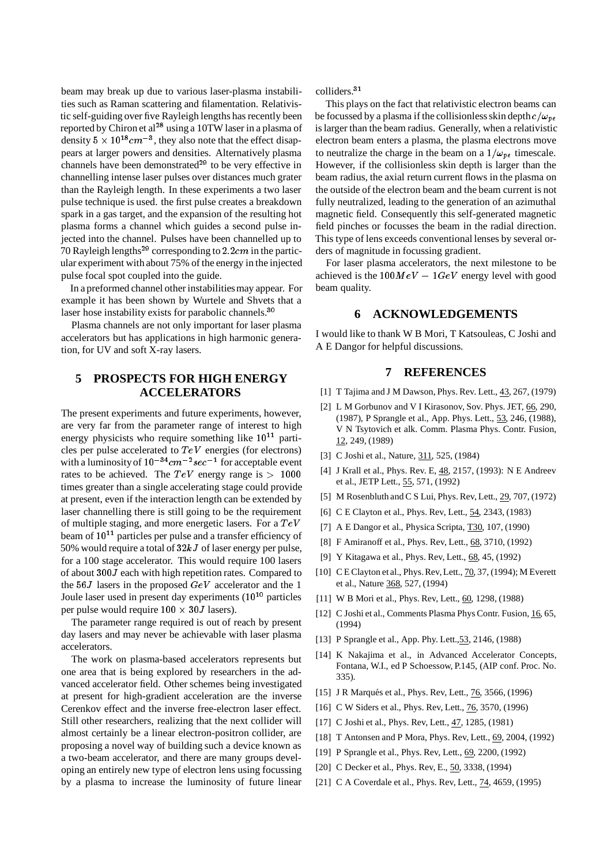beam may break up due to various laser-plasma instabilities such as Raman scattering and filamentation. Relativistic self-guiding over five Rayleigh lengths has recently been reported by Chiron et al<sup>28</sup> using a 10TW laser in a plasma of density  $5 \times 10^{18} cm^{-3}$ , they also note that the effect disappears at larger powers and densities. Alternatively plasma channels have been demonstrated $29$  to be very effective in channelling intense laser pulses over distances much grater than the Rayleigh length. In these experiments a two laser pulse technique is used. the first pulse creates a breakdown spark in a gas target, and the expansion of the resulting hot plasma forms a channel which guides a second pulse injected into the channel. Pulses have been channelled up to 70 Rayleigh lengths<sup>29</sup> corresponding to 2.2cm in the particular experiment with about 75% of the energy in the injected pulse focal spot coupled into the guide.

In a preformed channel other instabilitiesmay appear. For example it has been shown by Wurtele and Shvets that a laser hose instability exists for parabolic channels.<sup>30</sup>

Plasma channels are not only important for laser plasma accelerators but has applications in high harmonic generation, for UV and soft X-ray lasers.

## **5 PROSPECTS FOR HIGH ENERGY ACCELERATORS**

The present experiments and future experiments, however, are very far from the parameter range of interest to high energy physicists who require something like  $10^{11}$  particles per pulse accelerated to  $TeV$  energies (for electrons) with a luminosity of  $10^{-34}$ cm<sup>-2</sup> sec<sup>-1</sup> for acceptable event rates to be achieved. The  $TeV$  energy range is  $> 1000$ times greater than a single accelerating stage could provide at present, even if the interaction length can be extended by laser channelling there is still going to be the requirement of multiple staging, and more energetic lasers. For a  $TeV$ beam of  $10^{11}$  particles per pulse and a transfer efficiency of 50% would require a total of  $32kJ$  of laser energy per pulse, for a 100 stage accelerator. This would require 100 lasers of about 300J each with high repetition rates. Compared to the  $56J$  lasers in the proposed  $GeV$  accelerator and the 1 Joule laser used in present day experiments (10<sup>10</sup> particles per pulse would require  $100 \times 30J$  lasers).

The parameter range required is out of reach by present day lasers and may never be achievable with laser plasma accelerators.

The work on plasma-based accelerators represents but one area that is being explored by researchers in the advanced accelerator field. Other schemes being investigated at present for high-gradient acceleration are the inverse Cerenkov effect and the inverse free-electron laser effect. Still other researchers, realizing that the next collider will almost certainly be a linear electron-positron collider, are proposing a novel way of building such a device known as a two-beam accelerator, and there are many groups developing an entirely new type of electron lens using focussing by a plasma to increase the luminosity of future linear

colliders.<sup>31</sup>

This plays on the fact that relativistic electron beams can be focussed by a plasma if the collisionless skin depth  $c/\omega_{pe}$ is larger than the beam radius. Generally, when a relativistic electron beam enters a plasma, the plasma electrons move to neutralize the charge in the beam on a  $1/\omega_{pe}$  timescale. However, if the collisionless skin depth is larger than the beam radius, the axial return current flows in the plasma on the outside of the electron beam and the beam current is not fully neutralized, leading to the generation of an azimuthal magnetic field. Consequently this self-generated magnetic field pinches or focusses the beam in the radial direction. This type of lens exceeds conventional lenses by several orders of magnitude in focussing gradient.

For laser plasma accelerators, the next milestone to be achieved is the  $100MeV - 1GeV$  energy level with good beam quality.

### **6 ACKNOWLEDGEMENTS**

I would like to thank W B Mori, T Katsouleas, C Joshi and A E Dangor for helpful discussions.

### **7 REFERENCES**

- [1] T Tajima and J M Dawson, Phys. Rev. Lett., 43, 267, (1979)
- [2] L M Gorbunov and V I Kirasonov, Sov. Phys. JET, 66, 290, (1987), P Sprangle et al., App. Phys. Lett., 53, 246, (1988), V N Tsytovich et alk. Comm. Plasma Phys. Contr. Fusion, 12, 249, (1989)
- [3] C Joshi et al., Nature, 311, 525, (1984)
- [4] J Krall et al., Phys. Rev. E, 48, 2157, (1993): N E Andreev et al., JETP Lett., 55, 571, (1992)
- [5] M Rosenbluth and C S Lui, Phys. Rev, Lett., 29, 707, (1972)
- [6] C E Clayton et al., Phys. Rev, Lett., 54, 2343, (1983)
- [7] A E Dangor et al., Physica Scripta, T30, 107, (1990)
- [8] F Amiranoff et al., Phys. Rev, Lett., 68, 3710, (1992)
- [9] Y Kitagawa et al., Phys. Rev, Lett., 68, 45, (1992)
- [10] C E Clayton et al., Phys. Rev, Lett., 70, 37, (1994); M Everett et al., Nature 368, 527, (1994)
- [11] W B Mori et al., Phys. Rev, Lett., 60, 1298, (1988)
- [12] C Joshi et al., Comments Plasma Phys Contr. Fusion, 16, 65, (1994)
- [13] P Sprangle et al., App. Phy. Lett., 53, 2146, (1988)
- [14] K Nakajima et al., in Advanced Accelerator Concepts, Fontana, W.I., ed P Schoessow, P.145, (AIP conf. Proc. No. 335).
- [15] J R Marqués et al., Phys. Rev, Lett., 76, 3566, (1996)
- [16] C W Siders et al., Phys. Rev, Lett., 76, 3570, (1996)
- [17] C Joshi et al., Phys. Rev, Lett., 47, 1285, (1981)
- [18] T Antonsen and P Mora, Phys. Rev, Lett., 69, 2004, (1992)
- [19] P Sprangle et al., Phys. Rev, Lett., 69, 2200, (1992)
- [20] C Decker et al., Phys. Rev, E., 50, 3338, (1994)
- [21] C A Coverdale et al., Phys. Rev, Lett., 74, 4659, (1995)